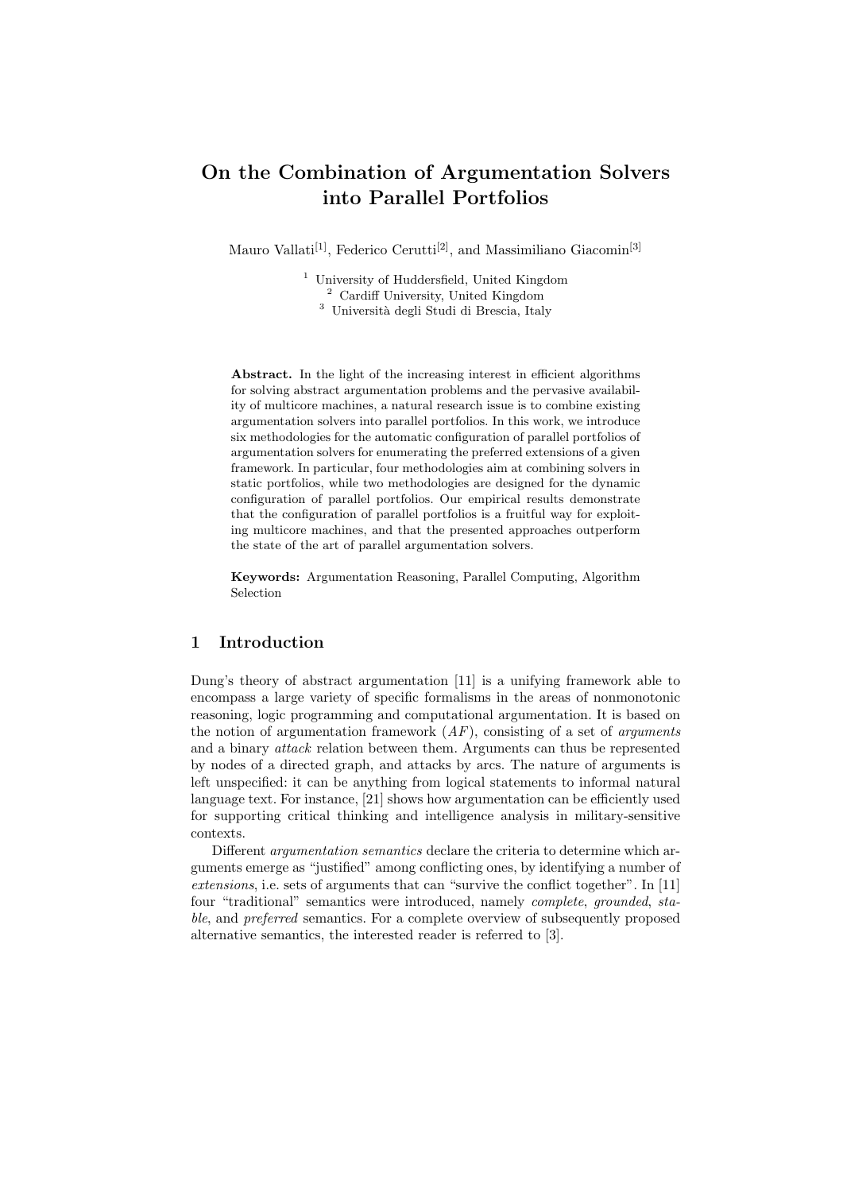# On the Combination of Argumentation Solvers into Parallel Portfolios

Mauro Vallati<sup>[1]</sup>, Federico Cerutti<sup>[2]</sup>, and Massimiliano Giacomin<sup>[3]</sup>

<sup>1</sup> University of Huddersfield, United Kingdom <sup>2</sup> Cardiff University, United Kingdom <sup>3</sup> Università degli Studi di Brescia, Italy

Abstract. In the light of the increasing interest in efficient algorithms for solving abstract argumentation problems and the pervasive availability of multicore machines, a natural research issue is to combine existing argumentation solvers into parallel portfolios. In this work, we introduce six methodologies for the automatic configuration of parallel portfolios of argumentation solvers for enumerating the preferred extensions of a given framework. In particular, four methodologies aim at combining solvers in static portfolios, while two methodologies are designed for the dynamic configuration of parallel portfolios. Our empirical results demonstrate that the configuration of parallel portfolios is a fruitful way for exploiting multicore machines, and that the presented approaches outperform the state of the art of parallel argumentation solvers.

Keywords: Argumentation Reasoning, Parallel Computing, Algorithm Selection

# 1 Introduction

Dung's theory of abstract argumentation [11] is a unifying framework able to encompass a large variety of specific formalisms in the areas of nonmonotonic reasoning, logic programming and computational argumentation. It is based on the notion of argumentation framework  $(AF)$ , consisting of a set of *arguments* and a binary attack relation between them. Arguments can thus be represented by nodes of a directed graph, and attacks by arcs. The nature of arguments is left unspecified: it can be anything from logical statements to informal natural language text. For instance, [21] shows how argumentation can be efficiently used for supporting critical thinking and intelligence analysis in military-sensitive contexts.

Different argumentation semantics declare the criteria to determine which arguments emerge as "justified" among conflicting ones, by identifying a number of extensions, i.e. sets of arguments that can "survive the conflict together". In [11] four "traditional" semantics were introduced, namely complete, grounded, stable, and preferred semantics. For a complete overview of subsequently proposed alternative semantics, the interested reader is referred to [3].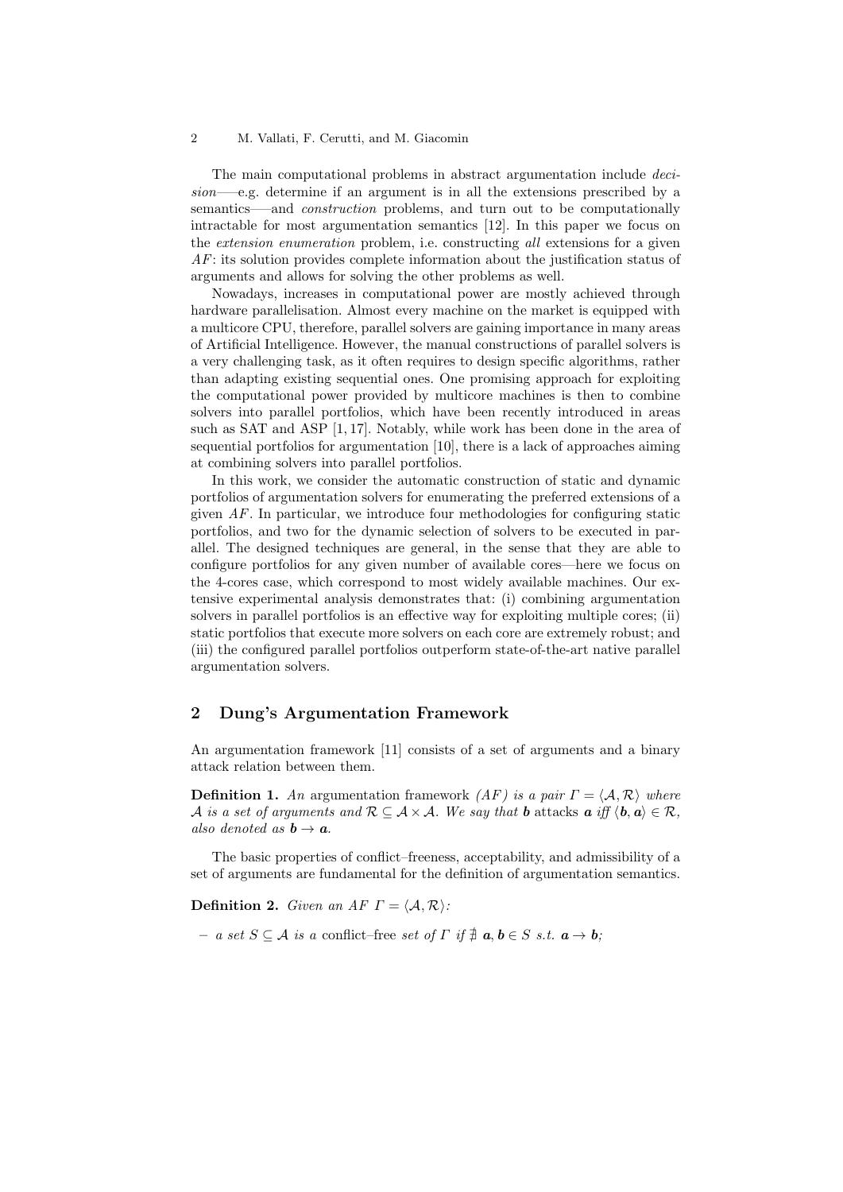#### 2 M. Vallati, F. Cerutti, and M. Giacomin

The main computational problems in abstract argumentation include decision—–e.g. determine if an argument is in all the extensions prescribed by a semantics—and *construction* problems, and turn out to be computationally intractable for most argumentation semantics [12]. In this paper we focus on the *extension enumeration* problem, i.e. constructing all extensions for a given AF: its solution provides complete information about the justification status of arguments and allows for solving the other problems as well.

Nowadays, increases in computational power are mostly achieved through hardware parallelisation. Almost every machine on the market is equipped with a multicore CPU, therefore, parallel solvers are gaining importance in many areas of Artificial Intelligence. However, the manual constructions of parallel solvers is a very challenging task, as it often requires to design specific algorithms, rather than adapting existing sequential ones. One promising approach for exploiting the computational power provided by multicore machines is then to combine solvers into parallel portfolios, which have been recently introduced in areas such as SAT and ASP [1, 17]. Notably, while work has been done in the area of sequential portfolios for argumentation [10], there is a lack of approaches aiming at combining solvers into parallel portfolios.

In this work, we consider the automatic construction of static and dynamic portfolios of argumentation solvers for enumerating the preferred extensions of a given  $AF$ . In particular, we introduce four methodologies for configuring static portfolios, and two for the dynamic selection of solvers to be executed in parallel. The designed techniques are general, in the sense that they are able to configure portfolios for any given number of available cores—here we focus on the 4-cores case, which correspond to most widely available machines. Our extensive experimental analysis demonstrates that: (i) combining argumentation solvers in parallel portfolios is an effective way for exploiting multiple cores; (ii) static portfolios that execute more solvers on each core are extremely robust; and (iii) the configured parallel portfolios outperform state-of-the-art native parallel argumentation solvers.

### 2 Dung's Argumentation Framework

An argumentation framework [11] consists of a set of arguments and a binary attack relation between them.

**Definition 1.** An argumentation framework  $AF$  is a pair  $\Gamma = \langle A, \mathcal{R} \rangle$  where A is a set of arguments and  $\mathcal{R} \subseteq \mathcal{A} \times \mathcal{A}$ . We say that **b** attacks **a** iff  $\langle \mathbf{b}, \mathbf{a} \rangle \in \mathcal{R}$ , also denoted as  $\mathbf{b} \to \mathbf{a}$ .

The basic properties of conflict–freeness, acceptability, and admissibility of a set of arguments are fundamental for the definition of argumentation semantics.

**Definition 2.** Given an AF  $\Gamma = \langle A, \mathcal{R} \rangle$ :

– a set  $S \subseteq A$  is a conflict–free set of  $\Gamma$  if  $\sharp$  **a**,  $b \in S$  s.t.  $a \to b$ ;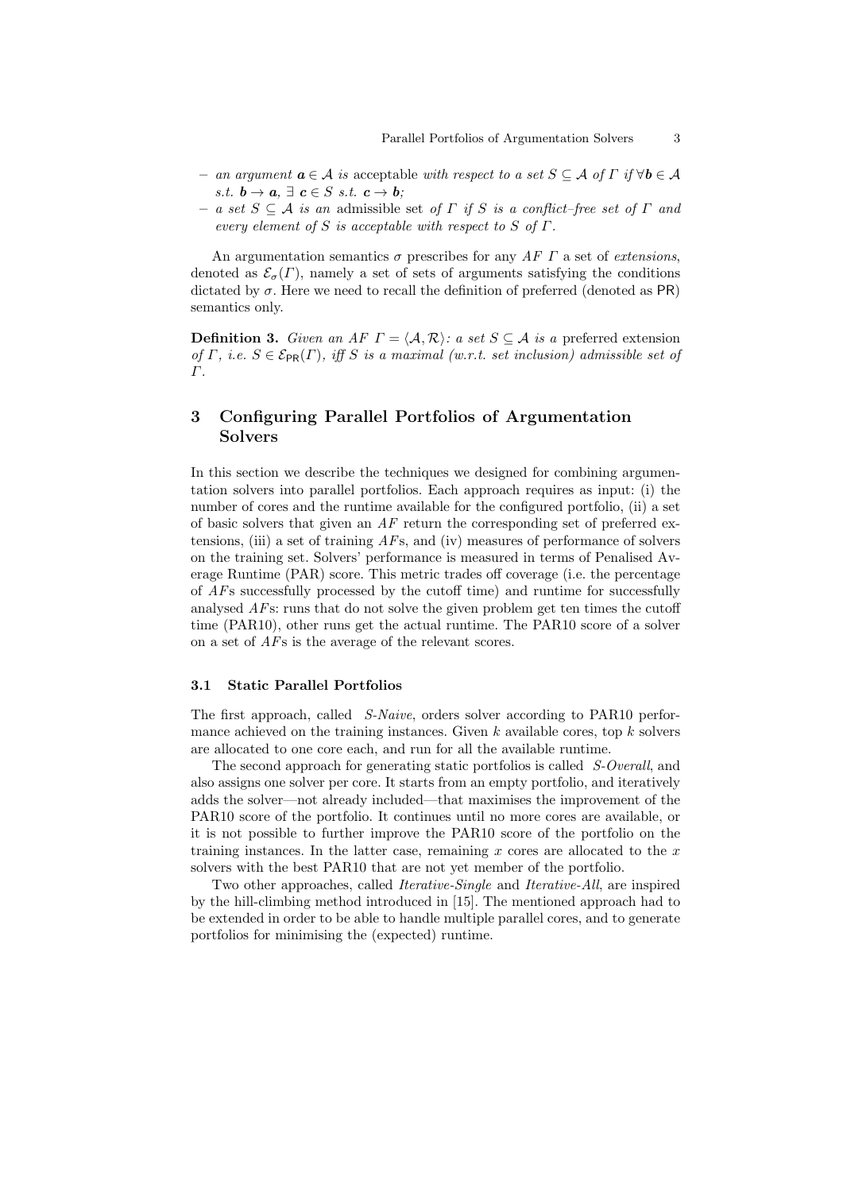- an argument  $a \in A$  is acceptable with respect to a set  $S \subseteq A$  of  $\Gamma$  if  $\forall b \in A$ s.t.  $\mathbf{b} \to \mathbf{a}, \exists \mathbf{c} \in S \text{ s.t. } \mathbf{c} \to \mathbf{b};$
- a set  $S \subseteq A$  is an admissible set of  $\Gamma$  if  $S$  is a conflict–free set of  $\Gamma$  and every element of S is acceptable with respect to S of  $\Gamma$ .

An argumentation semantics  $\sigma$  prescribes for any AF  $\Gamma$  a set of extensions, denoted as  $\mathcal{E}_{\sigma}(\Gamma)$ , namely a set of sets of arguments satisfying the conditions dictated by  $\sigma$ . Here we need to recall the definition of preferred (denoted as PR) semantics only.

**Definition 3.** Given an AF  $\Gamma = \langle A, \mathcal{R} \rangle$ : a set  $S \subseteq A$  is a preferred extension of  $\Gamma$ , i.e.  $S \in \mathcal{E}_{PR}(\Gamma)$ , iff S is a maximal (w.r.t. set inclusion) admissible set of Γ.

# 3 Configuring Parallel Portfolios of Argumentation Solvers

In this section we describe the techniques we designed for combining argumentation solvers into parallel portfolios. Each approach requires as input: (i) the number of cores and the runtime available for the configured portfolio, (ii) a set of basic solvers that given an  $AF$  return the corresponding set of preferred extensions, (iii) a set of training  $AFs$ , and (iv) measures of performance of solvers on the training set. Solvers' performance is measured in terms of Penalised Average Runtime (PAR) score. This metric trades off coverage (i.e. the percentage of AFs successfully processed by the cutoff time) and runtime for successfully analysed  $AFs$ : runs that do not solve the given problem get ten times the cutoff time (PAR10), other runs get the actual runtime. The PAR10 score of a solver on a set of AFs is the average of the relevant scores.

#### 3.1 Static Parallel Portfolios

The first approach, called *S-Naive*, orders solver according to PAR10 performance achieved on the training instances. Given  $k$  available cores, top  $k$  solvers are allocated to one core each, and run for all the available runtime.

The second approach for generating static portfolios is called S-Overall, and also assigns one solver per core. It starts from an empty portfolio, and iteratively adds the solver—not already included—that maximises the improvement of the PAR10 score of the portfolio. It continues until no more cores are available, or it is not possible to further improve the PAR10 score of the portfolio on the training instances. In the latter case, remaining  $x$  cores are allocated to the  $x$ solvers with the best PAR10 that are not yet member of the portfolio.

Two other approaches, called Iterative-Single and Iterative-All, are inspired by the hill-climbing method introduced in [15]. The mentioned approach had to be extended in order to be able to handle multiple parallel cores, and to generate portfolios for minimising the (expected) runtime.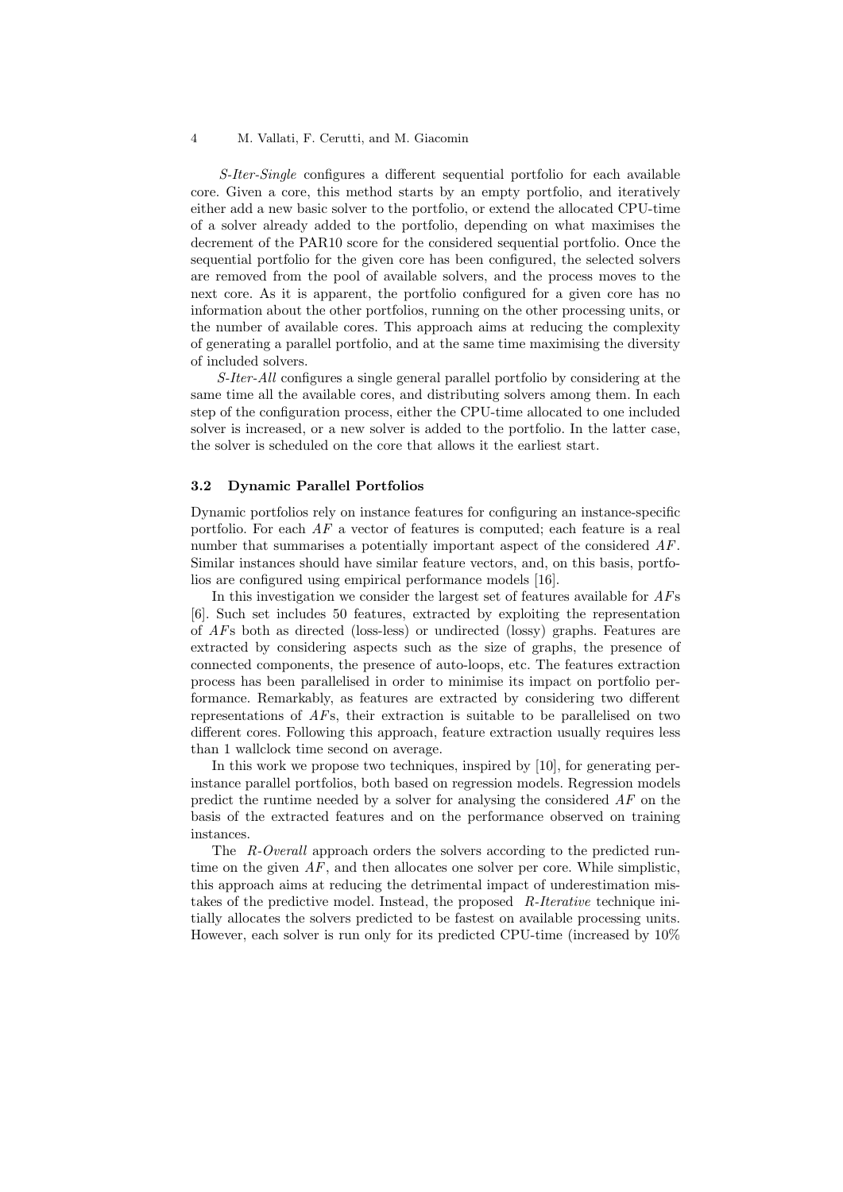#### 4 M. Vallati, F. Cerutti, and M. Giacomin

S-Iter-Single configures a different sequential portfolio for each available core. Given a core, this method starts by an empty portfolio, and iteratively either add a new basic solver to the portfolio, or extend the allocated CPU-time of a solver already added to the portfolio, depending on what maximises the decrement of the PAR10 score for the considered sequential portfolio. Once the sequential portfolio for the given core has been configured, the selected solvers are removed from the pool of available solvers, and the process moves to the next core. As it is apparent, the portfolio configured for a given core has no information about the other portfolios, running on the other processing units, or the number of available cores. This approach aims at reducing the complexity of generating a parallel portfolio, and at the same time maximising the diversity of included solvers.

S-Iter-All configures a single general parallel portfolio by considering at the same time all the available cores, and distributing solvers among them. In each step of the configuration process, either the CPU-time allocated to one included solver is increased, or a new solver is added to the portfolio. In the latter case, the solver is scheduled on the core that allows it the earliest start.

#### 3.2 Dynamic Parallel Portfolios

Dynamic portfolios rely on instance features for configuring an instance-specific portfolio. For each  $AF$  a vector of features is computed; each feature is a real number that summarises a potentially important aspect of the considered AF. Similar instances should have similar feature vectors, and, on this basis, portfolios are configured using empirical performance models [16].

In this investigation we consider the largest set of features available for  $AFs$ [6]. Such set includes 50 features, extracted by exploiting the representation of AFs both as directed (loss-less) or undirected (lossy) graphs. Features are extracted by considering aspects such as the size of graphs, the presence of connected components, the presence of auto-loops, etc. The features extraction process has been parallelised in order to minimise its impact on portfolio performance. Remarkably, as features are extracted by considering two different representations of AFs, their extraction is suitable to be parallelised on two different cores. Following this approach, feature extraction usually requires less than 1 wallclock time second on average.

In this work we propose two techniques, inspired by [10], for generating perinstance parallel portfolios, both based on regression models. Regression models predict the runtime needed by a solver for analysing the considered  $AF$  on the basis of the extracted features and on the performance observed on training instances.

The R-Overall approach orders the solvers according to the predicted runtime on the given  $AF$ , and then allocates one solver per core. While simplistic, this approach aims at reducing the detrimental impact of underestimation mistakes of the predictive model. Instead, the proposed R-Iterative technique initially allocates the solvers predicted to be fastest on available processing units. However, each solver is run only for its predicted CPU-time (increased by 10%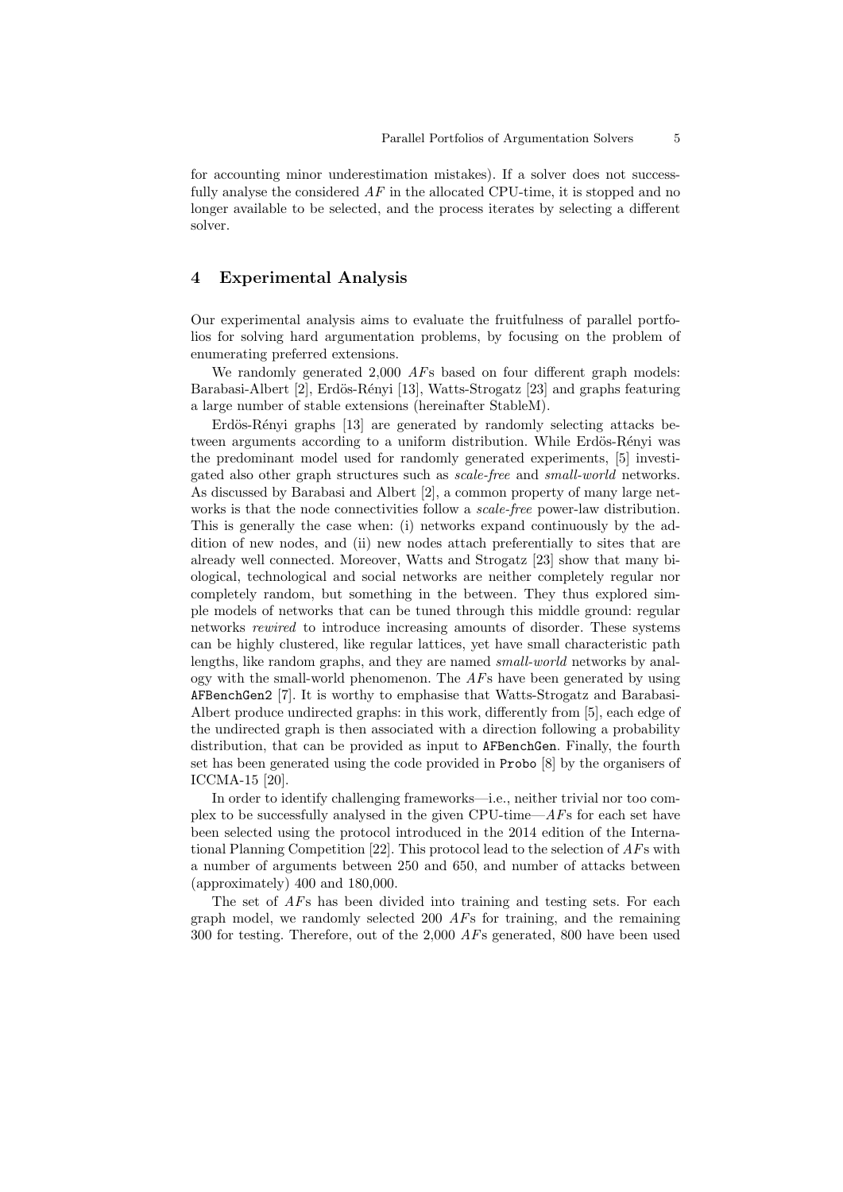for accounting minor underestimation mistakes). If a solver does not successfully analyse the considered  $AF$  in the allocated CPU-time, it is stopped and no longer available to be selected, and the process iterates by selecting a different solver.

## 4 Experimental Analysis

Our experimental analysis aims to evaluate the fruitfulness of parallel portfolios for solving hard argumentation problems, by focusing on the problem of enumerating preferred extensions.

We randomly generated 2,000 AFs based on four different graph models: Barabasi-Albert [2], Erdös-Rényi [13], Watts-Strogatz [23] and graphs featuring a large number of stable extensions (hereinafter StableM).

Erdös-Rényi graphs [13] are generated by randomly selecting attacks between arguments according to a uniform distribution. While Erdös-Rényi was the predominant model used for randomly generated experiments, [5] investigated also other graph structures such as scale-free and small-world networks. As discussed by Barabasi and Albert [2], a common property of many large networks is that the node connectivities follow a *scale-free* power-law distribution. This is generally the case when: (i) networks expand continuously by the addition of new nodes, and (ii) new nodes attach preferentially to sites that are already well connected. Moreover, Watts and Strogatz [23] show that many biological, technological and social networks are neither completely regular nor completely random, but something in the between. They thus explored simple models of networks that can be tuned through this middle ground: regular networks rewired to introduce increasing amounts of disorder. These systems can be highly clustered, like regular lattices, yet have small characteristic path lengths, like random graphs, and they are named small-world networks by analogy with the small-world phenomenon. The  $AFs$  have been generated by using AFBenchGen2 [7]. It is worthy to emphasise that Watts-Strogatz and Barabasi-Albert produce undirected graphs: in this work, differently from [5], each edge of the undirected graph is then associated with a direction following a probability distribution, that can be provided as input to AFBenchGen. Finally, the fourth set has been generated using the code provided in Probo [8] by the organisers of ICCMA-15 [20].

In order to identify challenging frameworks—i.e., neither trivial nor too complex to be successfully analysed in the given CPU-time— $AFs$  for each set have been selected using the protocol introduced in the 2014 edition of the International Planning Competition [22]. This protocol lead to the selection of AFs with a number of arguments between 250 and 650, and number of attacks between (approximately) 400 and 180,000.

The set of AFs has been divided into training and testing sets. For each graph model, we randomly selected 200 AFs for training, and the remaining 300 for testing. Therefore, out of the 2,000 AFs generated, 800 have been used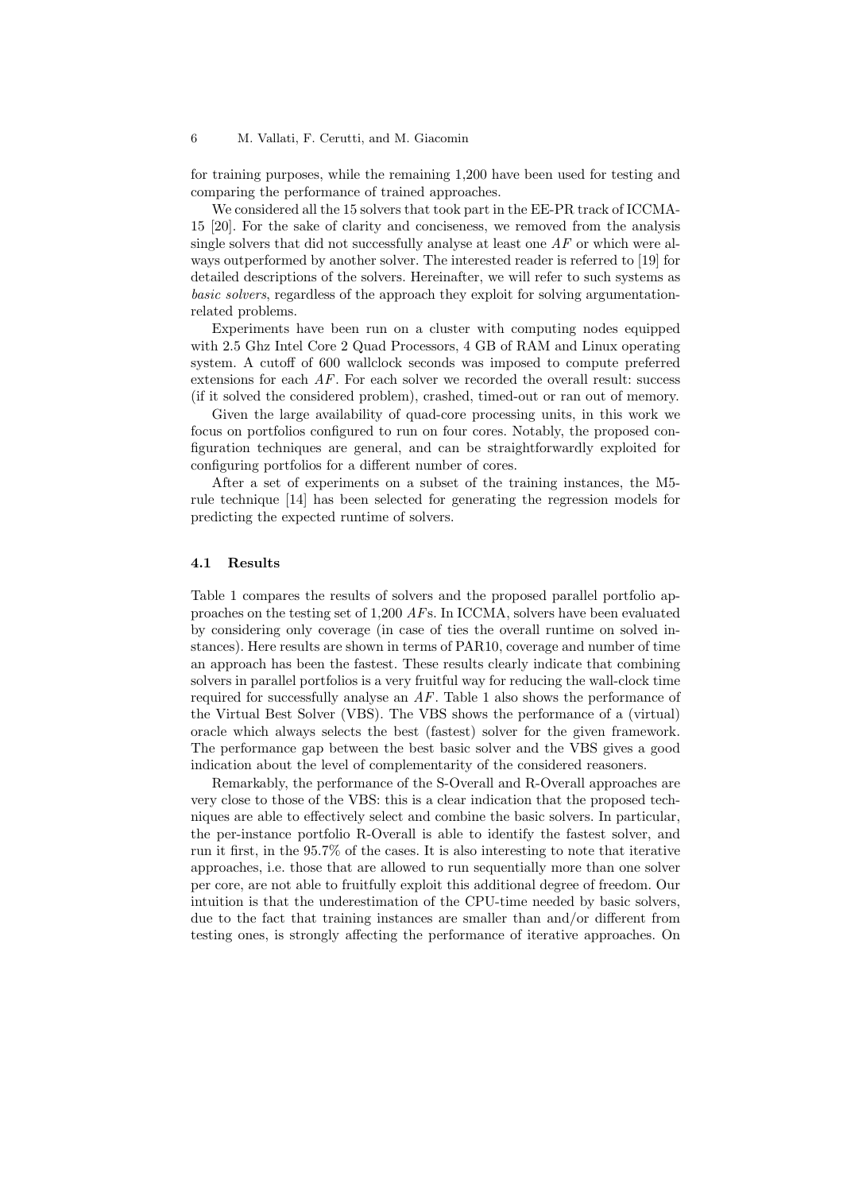#### 6 M. Vallati, F. Cerutti, and M. Giacomin

for training purposes, while the remaining 1,200 have been used for testing and comparing the performance of trained approaches.

We considered all the 15 solvers that took part in the EE-PR track of ICCMA-15 [20]. For the sake of clarity and conciseness, we removed from the analysis single solvers that did not successfully analyse at least one  $AF$  or which were always outperformed by another solver. The interested reader is referred to [19] for detailed descriptions of the solvers. Hereinafter, we will refer to such systems as basic solvers, regardless of the approach they exploit for solving argumentationrelated problems.

Experiments have been run on a cluster with computing nodes equipped with 2.5 Ghz Intel Core 2 Quad Processors, 4 GB of RAM and Linux operating system. A cutoff of 600 wallclock seconds was imposed to compute preferred extensions for each AF. For each solver we recorded the overall result: success (if it solved the considered problem), crashed, timed-out or ran out of memory.

Given the large availability of quad-core processing units, in this work we focus on portfolios configured to run on four cores. Notably, the proposed configuration techniques are general, and can be straightforwardly exploited for configuring portfolios for a different number of cores.

After a set of experiments on a subset of the training instances, the M5 rule technique [14] has been selected for generating the regression models for predicting the expected runtime of solvers.

#### 4.1 Results

Table 1 compares the results of solvers and the proposed parallel portfolio approaches on the testing set of 1,200 AFs. In ICCMA, solvers have been evaluated by considering only coverage (in case of ties the overall runtime on solved instances). Here results are shown in terms of PAR10, coverage and number of time an approach has been the fastest. These results clearly indicate that combining solvers in parallel portfolios is a very fruitful way for reducing the wall-clock time required for successfully analyse an  $AF$ . Table 1 also shows the performance of the Virtual Best Solver (VBS). The VBS shows the performance of a (virtual) oracle which always selects the best (fastest) solver for the given framework. The performance gap between the best basic solver and the VBS gives a good indication about the level of complementarity of the considered reasoners.

Remarkably, the performance of the S-Overall and R-Overall approaches are very close to those of the VBS: this is a clear indication that the proposed techniques are able to effectively select and combine the basic solvers. In particular, the per-instance portfolio R-Overall is able to identify the fastest solver, and run it first, in the 95.7% of the cases. It is also interesting to note that iterative approaches, i.e. those that are allowed to run sequentially more than one solver per core, are not able to fruitfully exploit this additional degree of freedom. Our intuition is that the underestimation of the CPU-time needed by basic solvers, due to the fact that training instances are smaller than and/or different from testing ones, is strongly affecting the performance of iterative approaches. On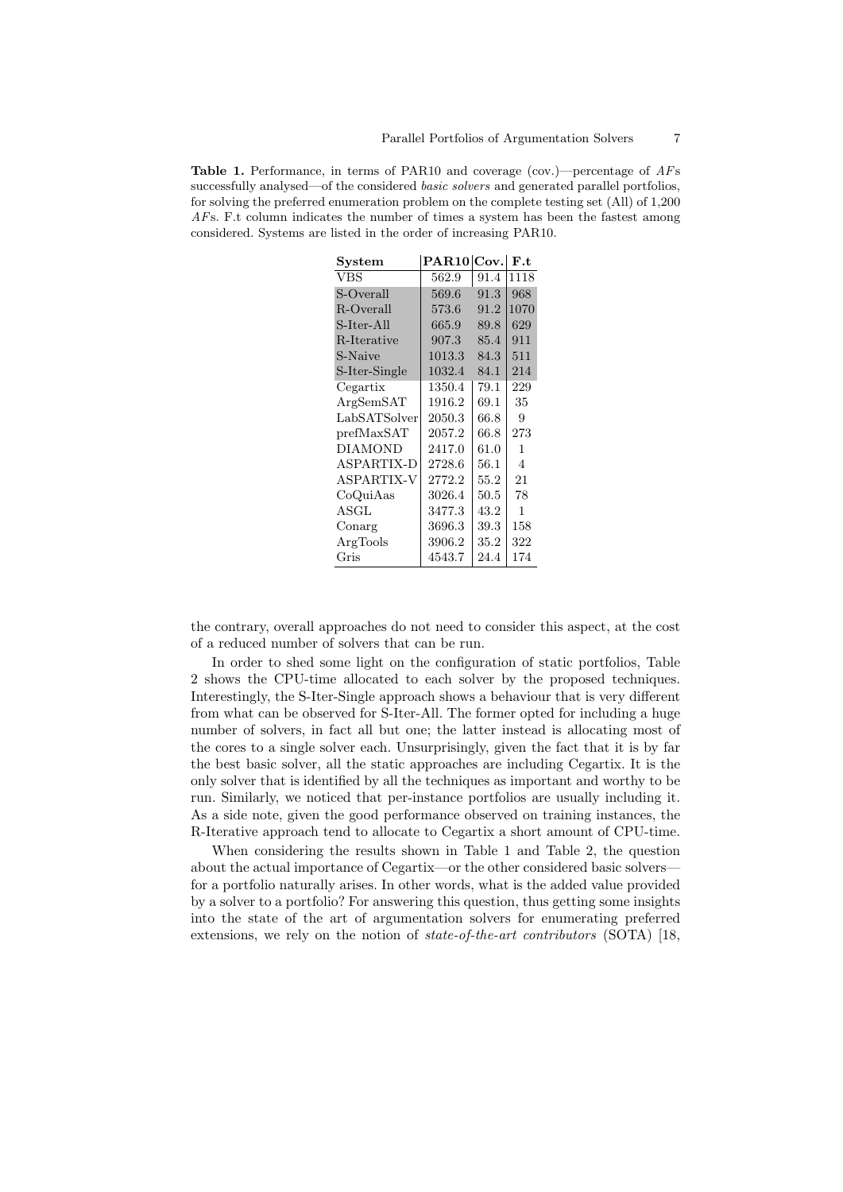**Table 1.** Performance, in terms of PAR10 and coverage (cov.)—percentage of  $AFs$ successfully analysed—of the considered *basic solvers* and generated parallel portfolios, for solving the preferred enumeration problem on the complete testing set (All) of 1,200 AFs. F.t column indicates the number of times a system has been the fastest among considered. Systems are listed in the order of increasing PAR10.

| $\mathbf{System}$ | PAR10  | Cov.     | F.t  |
|-------------------|--------|----------|------|
| VBS               | 562.9  | 91.4     | 1118 |
| S-Overall         | 569.6  | 91.3     | 968  |
| R-Overall         | 573.6  | 91.2     | 1070 |
| S-Iter-All        | 665.9  | 89.8     | 629  |
| R-Iterative       | 907.3  | 85.4     | 911  |
| S-Naive           | 1013.3 | 84.3     | 511  |
| S-Iter-Single     | 1032.4 | 84.1     | 214  |
| Cegartix          | 1350.4 | 79.1     | 229  |
| ArgSemSAT         | 1916.2 | 69.1     | 35   |
| LabSATSolver      | 2050.3 | 66.8     | 9    |
| prefMaxSAT        | 2057.2 | 66.8     | 273  |
| DIAMOND           | 2417.0 | 61.0     | 1    |
| ASPARTIX-D        | 2728.6 | 56.1     | 4    |
| ASPARTIX-V        | 2772.2 | 55.2     | 21   |
| CoQuiAas          | 3026.4 | 50.5     | 78   |
| $_{\rm ASGL}$     | 3477.3 | 43.2     | 1    |
| Conarg            | 3696.3 | 39.3     | 158  |
| ArgTools          | 3906.2 | $35.2\,$ | 322  |
| Gris              | 4543.7 | 24.4     | 174  |

the contrary, overall approaches do not need to consider this aspect, at the cost of a reduced number of solvers that can be run.

In order to shed some light on the configuration of static portfolios, Table 2 shows the CPU-time allocated to each solver by the proposed techniques. Interestingly, the S-Iter-Single approach shows a behaviour that is very different from what can be observed for S-Iter-All. The former opted for including a huge number of solvers, in fact all but one; the latter instead is allocating most of the cores to a single solver each. Unsurprisingly, given the fact that it is by far the best basic solver, all the static approaches are including Cegartix. It is the only solver that is identified by all the techniques as important and worthy to be run. Similarly, we noticed that per-instance portfolios are usually including it. As a side note, given the good performance observed on training instances, the R-Iterative approach tend to allocate to Cegartix a short amount of CPU-time.

When considering the results shown in Table 1 and Table 2, the question about the actual importance of Cegartix—or the other considered basic solvers for a portfolio naturally arises. In other words, what is the added value provided by a solver to a portfolio? For answering this question, thus getting some insights into the state of the art of argumentation solvers for enumerating preferred extensions, we rely on the notion of *state-of-the-art contributors* (SOTA) [18,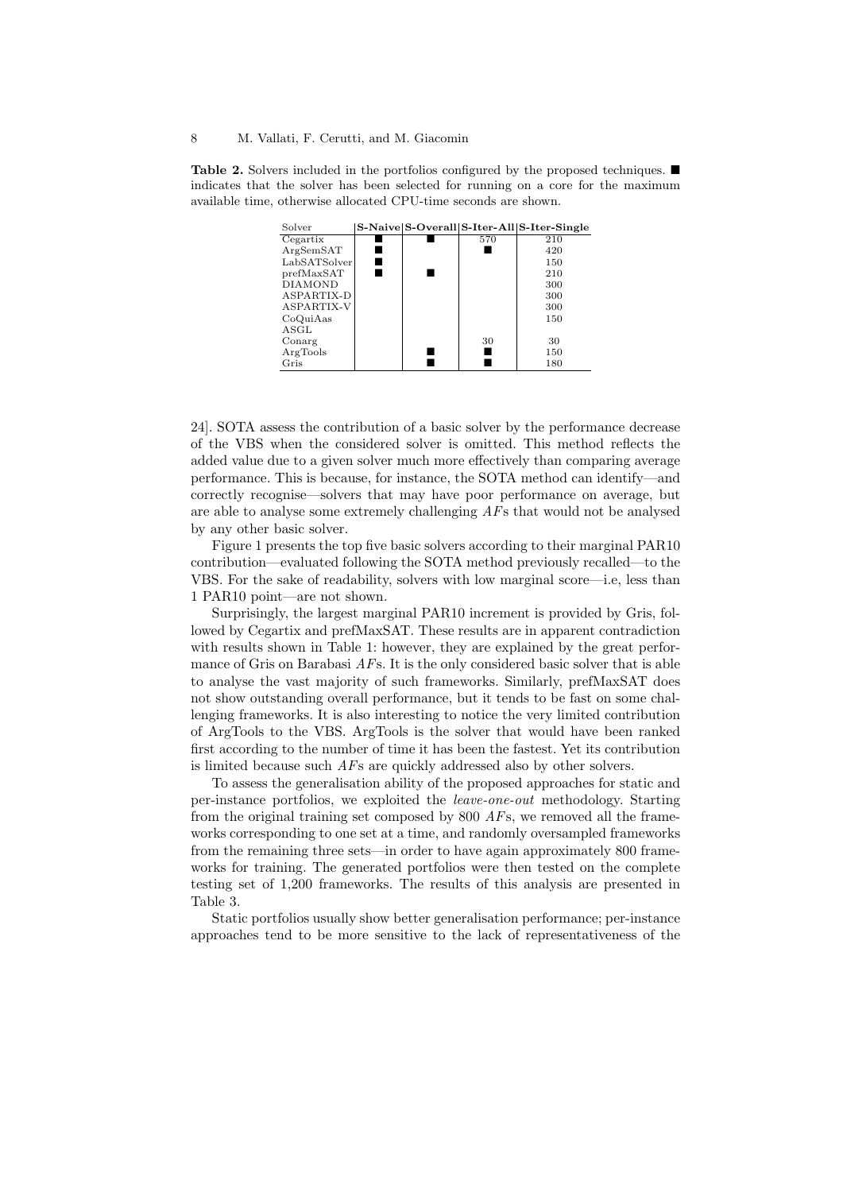Table 2. Solvers included in the portfolios configured by the proposed techniques. indicates that the solver has been selected for running on a core for the maximum available time, otherwise allocated CPU-time seconds are shown.

| Solver         |  |     | S-Naive S-Overall S-Iter-All S-Iter-Single |
|----------------|--|-----|--------------------------------------------|
| Cegartix       |  | 570 | 210                                        |
| ArgSemSAT      |  |     | 420                                        |
| LabSATSolver   |  |     | 150                                        |
| prefixMaxSAT   |  |     | 210                                        |
| <b>DIAMOND</b> |  |     | 300                                        |
| ASPARTIX-D     |  |     | 300                                        |
| ASPARTIX-V     |  |     | 300                                        |
| CoQuiAas       |  |     | 150                                        |
| $_{\rm ASCII}$ |  |     |                                            |
| Conarg         |  | 30  | 30                                         |
| ArgTools       |  |     | 150                                        |
| Gris           |  |     | 180                                        |

24]. SOTA assess the contribution of a basic solver by the performance decrease of the VBS when the considered solver is omitted. This method reflects the added value due to a given solver much more effectively than comparing average performance. This is because, for instance, the SOTA method can identify—and correctly recognise—solvers that may have poor performance on average, but are able to analyse some extremely challenging AFs that would not be analysed by any other basic solver.

Figure 1 presents the top five basic solvers according to their marginal PAR10 contribution—evaluated following the SOTA method previously recalled—to the VBS. For the sake of readability, solvers with low marginal score—i.e, less than 1 PAR10 point—are not shown.

Surprisingly, the largest marginal PAR10 increment is provided by Gris, followed by Cegartix and prefMaxSAT. These results are in apparent contradiction with results shown in Table 1: however, they are explained by the great performance of Gris on Barabasi  $AFs$ . It is the only considered basic solver that is able to analyse the vast majority of such frameworks. Similarly, prefMaxSAT does not show outstanding overall performance, but it tends to be fast on some challenging frameworks. It is also interesting to notice the very limited contribution of ArgTools to the VBS. ArgTools is the solver that would have been ranked first according to the number of time it has been the fastest. Yet its contribution is limited because such AFs are quickly addressed also by other solvers.

To assess the generalisation ability of the proposed approaches for static and per-instance portfolios, we exploited the leave-one-out methodology. Starting from the original training set composed by  $800 \; AFs$ , we removed all the frameworks corresponding to one set at a time, and randomly oversampled frameworks from the remaining three sets—in order to have again approximately 800 frameworks for training. The generated portfolios were then tested on the complete testing set of 1,200 frameworks. The results of this analysis are presented in Table 3.

Static portfolios usually show better generalisation performance; per-instance approaches tend to be more sensitive to the lack of representativeness of the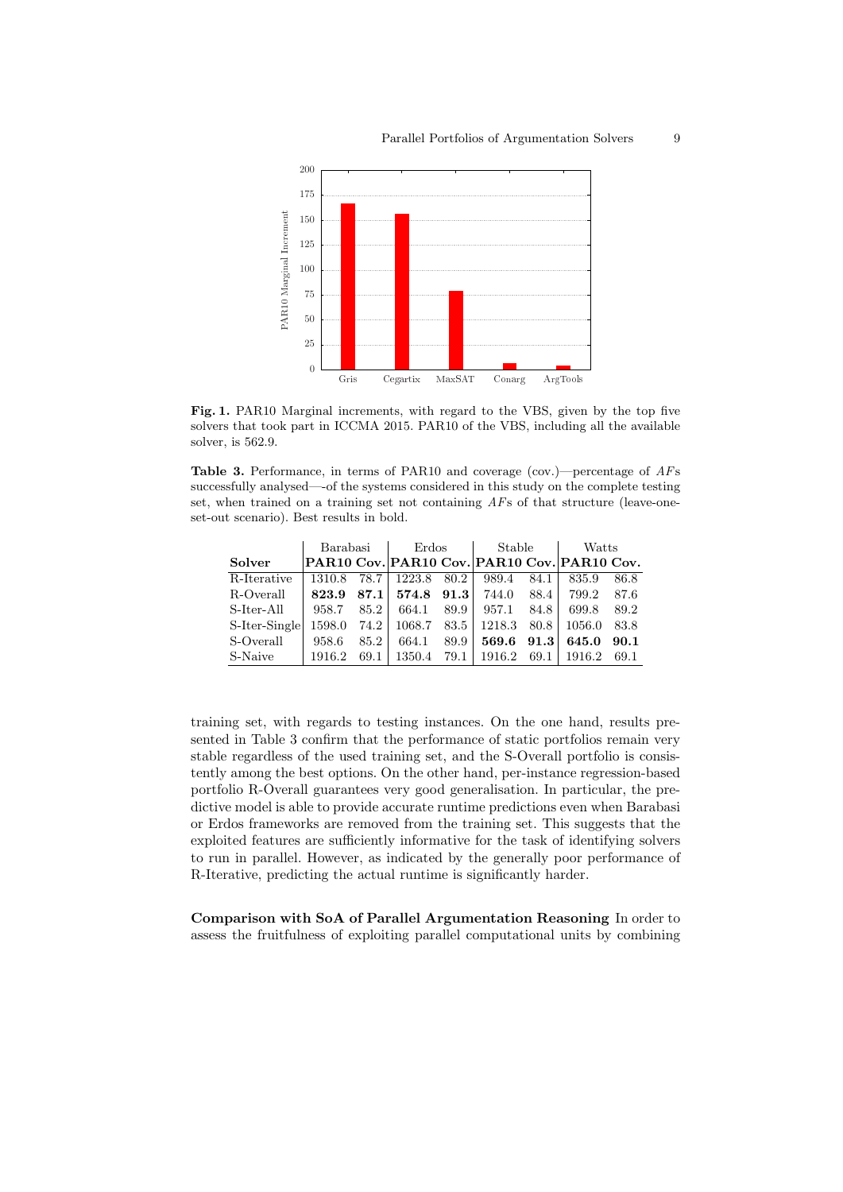

Fig. 1. PAR10 Marginal increments, with regard to the VBS, given by the top five solvers that took part in ICCMA 2015. PAR10 of the VBS, including all the available solver, is 562.9.

Table 3. Performance, in terms of PAR10 and coverage (cov.)—percentage of AFs successfully analysed—-of the systems considered in this study on the complete testing set, when trained on a training set not containing AFs of that structure (leave-oneset-out scenario). Best results in bold.

|               | Barabasi |      | Erdos                                       |      | Stable |      | Watts  |      |
|---------------|----------|------|---------------------------------------------|------|--------|------|--------|------|
| Solver        |          |      | PAR10 Cov. PAR10 Cov. PAR10 Cov. PAR10 Cov. |      |        |      |        |      |
| R-Iterative   | 1310.8   | 78.7 | 1223.8                                      | 80.2 | 989.4  | 84.1 | 835.9  | 86.8 |
| R-Overall     | 823.9    | 87.1 | 574.8 91.3                                  |      | 744.0  | 88.4 | 799.2  | 87.6 |
| S-Iter-All    | 958.7    | 85.2 | 664.1                                       | 89.9 | 957.1  | 84.8 | 699.8  | 89.2 |
| S-Iter-Single | 1598.0   | 74.2 | 1068.7                                      | 83.5 | 1218.3 | 80.8 | 1056.0 | 83.8 |
| S-Overall     | 958.6    | 85.2 | 664.1                                       | 89.9 | 569.6  | 91.3 | 645.0  | 90.1 |
| S-Naive       | 1916.2   | 69.1 | 1350.4                                      | 79.1 | 1916.2 | 69.1 | 1916.2 | 69.1 |

training set, with regards to testing instances. On the one hand, results presented in Table 3 confirm that the performance of static portfolios remain very stable regardless of the used training set, and the S-Overall portfolio is consistently among the best options. On the other hand, per-instance regression-based portfolio R-Overall guarantees very good generalisation. In particular, the predictive model is able to provide accurate runtime predictions even when Barabasi or Erdos frameworks are removed from the training set. This suggests that the exploited features are sufficiently informative for the task of identifying solvers to run in parallel. However, as indicated by the generally poor performance of R-Iterative, predicting the actual runtime is significantly harder.

Comparison with SoA of Parallel Argumentation Reasoning In order to assess the fruitfulness of exploiting parallel computational units by combining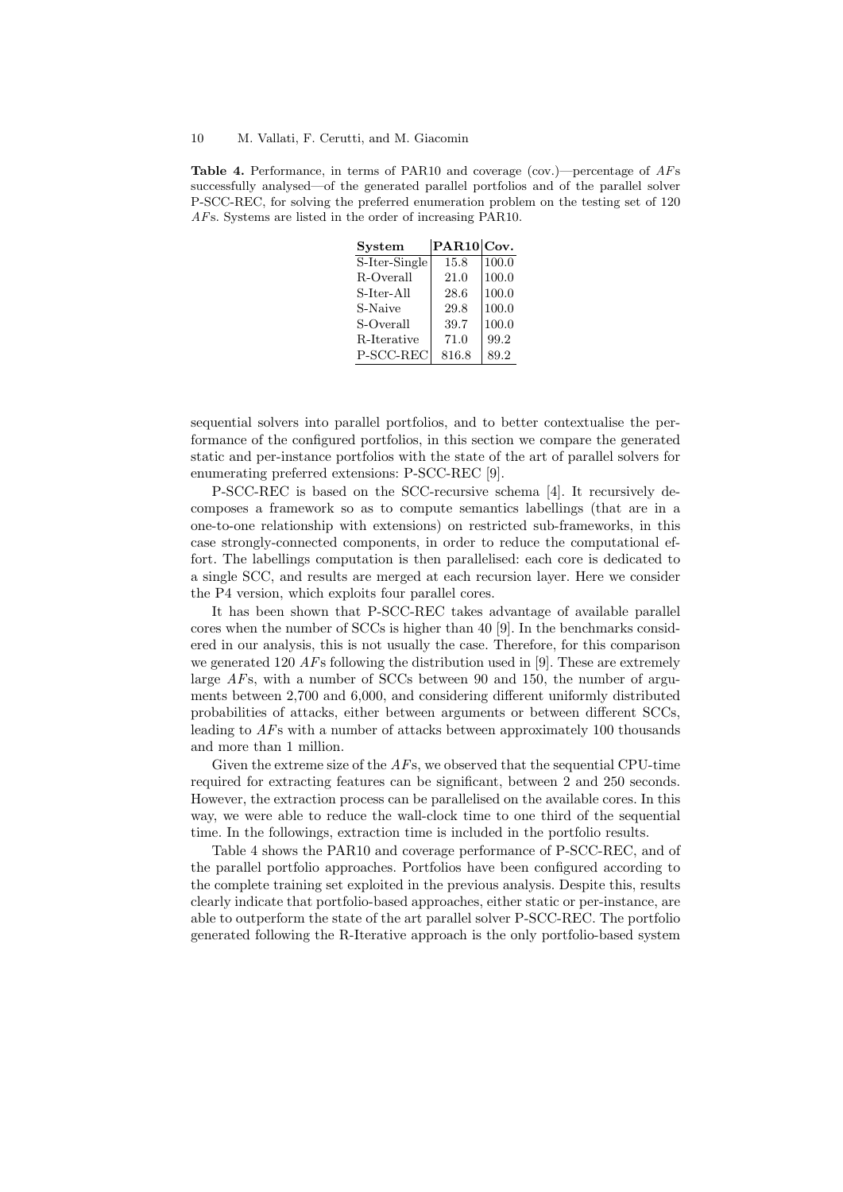**Table 4.** Performance, in terms of PAR10 and coverage (cov.)—percentage of  $AFs$ successfully analysed—of the generated parallel portfolios and of the parallel solver P-SCC-REC, for solving the preferred enumeration problem on the testing set of 120 AFs. Systems are listed in the order of increasing PAR10.

| System        | PAR10 Cov. |       |
|---------------|------------|-------|
| S-Iter-Single | 15.8       | 100.0 |
| R-Overall     | 21.0       | 100.0 |
| S-Iter-All    | 28.6       | 100.0 |
| S-Naive       | 29.8       | 100.0 |
| S-Overall     | 39.7       | 100.0 |
| R-Iterative   | 71.0       | 99.2  |
| P-SCC-REC     | 816.8      | 89.2  |

sequential solvers into parallel portfolios, and to better contextualise the performance of the configured portfolios, in this section we compare the generated static and per-instance portfolios with the state of the art of parallel solvers for enumerating preferred extensions: P-SCC-REC [9].

P-SCC-REC is based on the SCC-recursive schema [4]. It recursively decomposes a framework so as to compute semantics labellings (that are in a one-to-one relationship with extensions) on restricted sub-frameworks, in this case strongly-connected components, in order to reduce the computational effort. The labellings computation is then parallelised: each core is dedicated to a single SCC, and results are merged at each recursion layer. Here we consider the P4 version, which exploits four parallel cores.

It has been shown that P-SCC-REC takes advantage of available parallel cores when the number of SCCs is higher than 40 [9]. In the benchmarks considered in our analysis, this is not usually the case. Therefore, for this comparison we generated 120 AFs following the distribution used in [9]. These are extremely large  $AFs$ , with a number of SCCs between 90 and 150, the number of arguments between 2,700 and 6,000, and considering different uniformly distributed probabilities of attacks, either between arguments or between different SCCs, leading to AFs with a number of attacks between approximately 100 thousands and more than 1 million.

Given the extreme size of the  $AFs$ , we observed that the sequential CPU-time required for extracting features can be significant, between 2 and 250 seconds. However, the extraction process can be parallelised on the available cores. In this way, we were able to reduce the wall-clock time to one third of the sequential time. In the followings, extraction time is included in the portfolio results.

Table 4 shows the PAR10 and coverage performance of P-SCC-REC, and of the parallel portfolio approaches. Portfolios have been configured according to the complete training set exploited in the previous analysis. Despite this, results clearly indicate that portfolio-based approaches, either static or per-instance, are able to outperform the state of the art parallel solver P-SCC-REC. The portfolio generated following the R-Iterative approach is the only portfolio-based system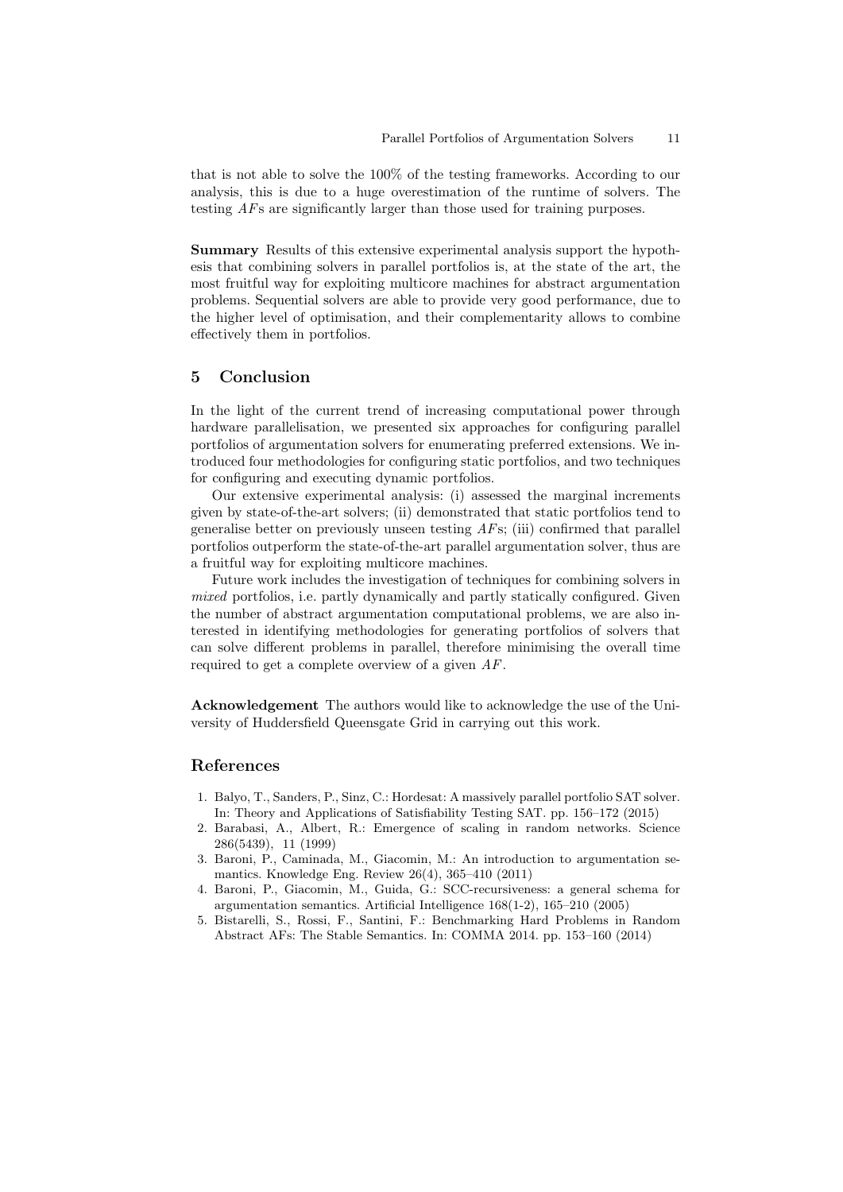that is not able to solve the 100% of the testing frameworks. According to our analysis, this is due to a huge overestimation of the runtime of solvers. The testing AFs are significantly larger than those used for training purposes.

Summary Results of this extensive experimental analysis support the hypothesis that combining solvers in parallel portfolios is, at the state of the art, the most fruitful way for exploiting multicore machines for abstract argumentation problems. Sequential solvers are able to provide very good performance, due to the higher level of optimisation, and their complementarity allows to combine effectively them in portfolios.

### 5 Conclusion

In the light of the current trend of increasing computational power through hardware parallelisation, we presented six approaches for configuring parallel portfolios of argumentation solvers for enumerating preferred extensions. We introduced four methodologies for configuring static portfolios, and two techniques for configuring and executing dynamic portfolios.

Our extensive experimental analysis: (i) assessed the marginal increments given by state-of-the-art solvers; (ii) demonstrated that static portfolios tend to generalise better on previously unseen testing  $AFs$ ; (iii) confirmed that parallel portfolios outperform the state-of-the-art parallel argumentation solver, thus are a fruitful way for exploiting multicore machines.

Future work includes the investigation of techniques for combining solvers in mixed portfolios, i.e. partly dynamically and partly statically configured. Given the number of abstract argumentation computational problems, we are also interested in identifying methodologies for generating portfolios of solvers that can solve different problems in parallel, therefore minimising the overall time required to get a complete overview of a given AF.

Acknowledgement The authors would like to acknowledge the use of the University of Huddersfield Queensgate Grid in carrying out this work.

### References

- 1. Balyo, T., Sanders, P., Sinz, C.: Hordesat: A massively parallel portfolio SAT solver. In: Theory and Applications of Satisfiability Testing SAT. pp. 156–172 (2015)
- 2. Barabasi, A., Albert, R.: Emergence of scaling in random networks. Science 286(5439), 11 (1999)
- 3. Baroni, P., Caminada, M., Giacomin, M.: An introduction to argumentation semantics. Knowledge Eng. Review 26(4), 365–410 (2011)
- 4. Baroni, P., Giacomin, M., Guida, G.: SCC-recursiveness: a general schema for argumentation semantics. Artificial Intelligence 168(1-2), 165–210 (2005)
- 5. Bistarelli, S., Rossi, F., Santini, F.: Benchmarking Hard Problems in Random Abstract AFs: The Stable Semantics. In: COMMA 2014. pp. 153–160 (2014)